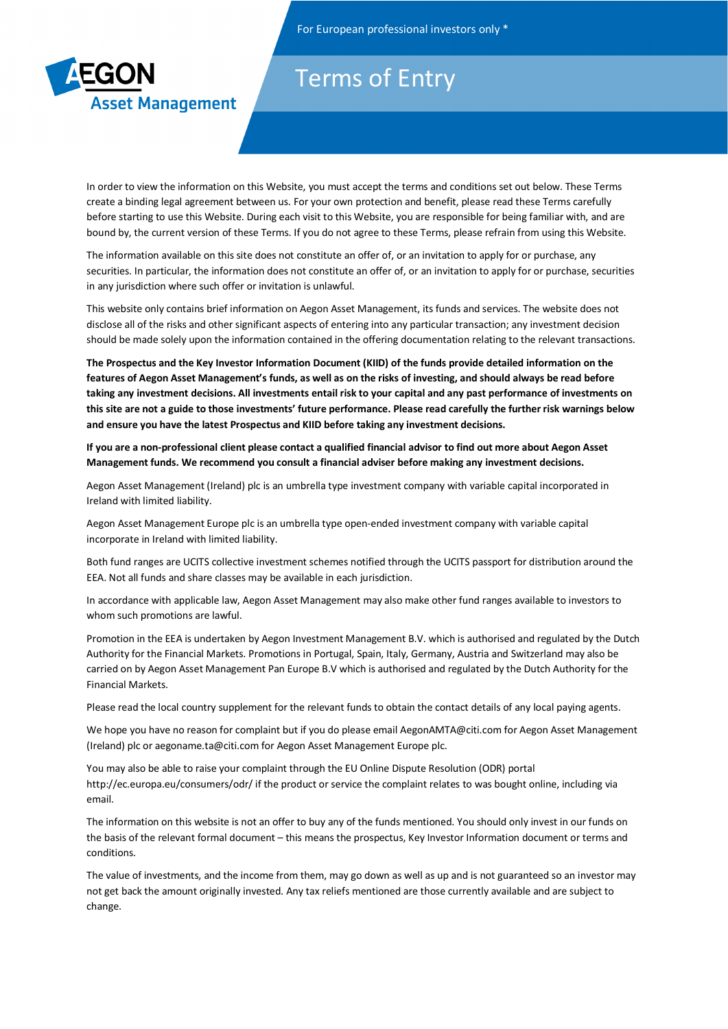

## Terms of Entry

In order to view the information on this Website, you must accept the terms and conditions set out below. These Terms create a binding legal agreement between us. For your own protection and benefit, please read these Terms carefully before starting to use this Website. During each visit to this Website, you are responsible for being familiar with, and are bound by, the current version of these Terms. If you do not agree to these Terms, please refrain from using this Website.

The information available on this site does not constitute an offer of, or an invitation to apply for or purchase, any securities. In particular, the information does not constitute an offer of, or an invitation to apply for or purchase, securities in any jurisdiction where such offer or invitation is unlawful.

This website only contains brief information on Aegon Asset Management, its funds and services. The website does not disclose all of the risks and other significant aspects of entering into any particular transaction; any investment decision should be made solely upon the information contained in the offering documentation relating to the relevant transactions.

**The Prospectus and the Key Investor Information Document (KIID) of the funds provide detailed information on the features of Aegon Asset Management's funds, as well as on the risks of investing, and should always be read before taking any investment decisions. All investments entail risk to your capital and any past performance of investments on this site are not a guide to those investments' future performance. Please read carefully the further risk warnings below and ensure you have the latest Prospectus and KIID before taking any investment decisions.** 

**If you are a non-professional client please contact a qualified financial advisor to find out more about Aegon Asset Management funds. We recommend you consult a financial adviser before making any investment decisions.** 

Aegon Asset Management (Ireland) plc is an umbrella type investment company with variable capital incorporated in Ireland with limited liability.

Aegon Asset Management Europe plc is an umbrella type open-ended investment company with variable capital incorporate in Ireland with limited liability.

Both fund ranges are UCITS collective investment schemes notified through the UCITS passport for distribution around the EEA. Not all funds and share classes may be available in each jurisdiction.

In accordance with applicable law, Aegon Asset Management may also make other fund ranges available to investors to whom such promotions are lawful.

Promotion in the EEA is undertaken by Aegon Investment Management B.V. which is authorised and regulated by the Dutch Authority for the Financial Markets. Promotions in Portugal, Spain, Italy, Germany, Austria and Switzerland may also be carried on by Aegon Asset Management Pan Europe B.V which is authorised and regulated by the Dutch Authority for the Financial Markets.

Please read the local country supplement for the relevant funds to obtain the contact details of any local paying agents.

We hope you have no reason for complaint but if you do please email AegonAMTA@citi.com for Aegon Asset Management (Ireland) plc or aegoname.ta@citi.com for Aegon Asset Management Europe plc.

You may also be able to raise your complaint through the EU Online Dispute Resolution (ODR) portal http://ec.europa.eu/consumers/odr/ if the product or service the complaint relates to was bought online, including via email.

The information on this website is not an offer to buy any of the funds mentioned. You should only invest in our funds on the basis of the relevant formal document – this means the prospectus, Key Investor Information document or terms and conditions.

The value of investments, and the income from them, may go down as well as up and is not guaranteed so an investor may not get back the amount originally invested. Any tax reliefs mentioned are those currently available and are subject to change.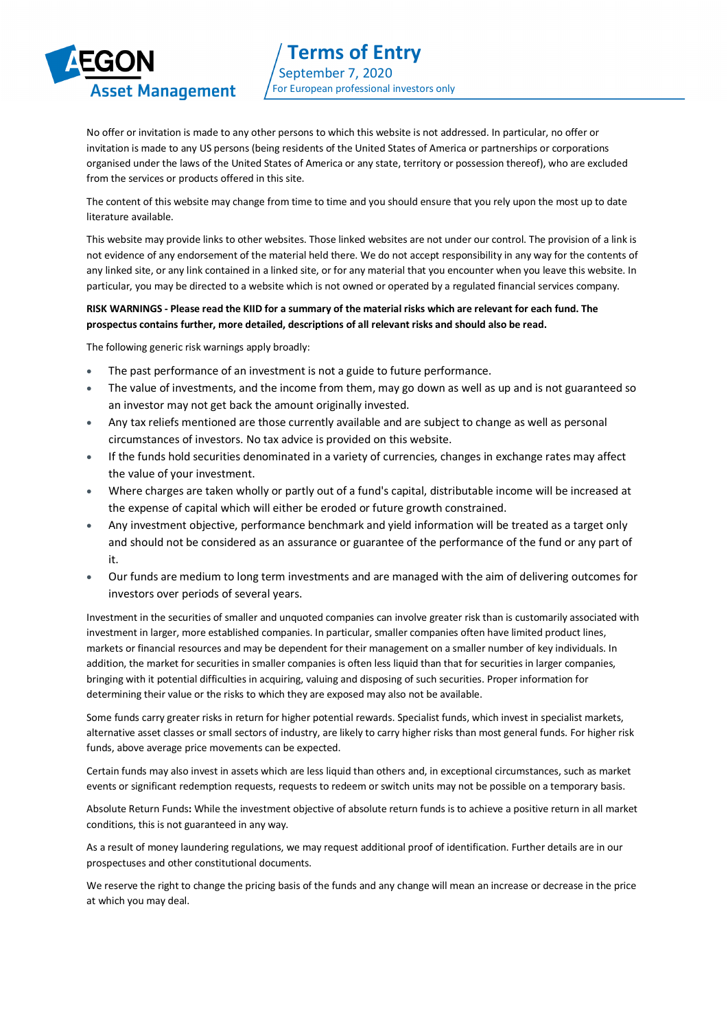## **Asset Management**

No offer or invitation is made to any other persons to which this website is not addressed. In particular, no offer or invitation is made to any US persons (being residents of the United States of America or partnerships or corporations organised under the laws of the United States of America or any state, territory or possession thereof), who are excluded from the services or products offered in this site.

The content of this website may change from time to time and you should ensure that you rely upon the most up to date literature available.

This website may provide links to other websites. Those linked websites are not under our control. The provision of a link is not evidence of any endorsement of the material held there. We do not accept responsibility in any way for the contents of any linked site, or any link contained in a linked site, or for any material that you encounter when you leave this website. In particular, you may be directed to a website which is not owned or operated by a regulated financial services company.

## **RISK WARNINGS - Please read the KIID for a summary of the material risks which are relevant for each fund. The prospectus contains further, more detailed, descriptions of all relevant risks and should also be read.**

The following generic risk warnings apply broadly:

- The past performance of an investment is not a guide to future performance.
- The value of investments, and the income from them, may go down as well as up and is not guaranteed so an investor may not get back the amount originally invested.
- Any tax reliefs mentioned are those currently available and are subject to change as well as personal circumstances of investors. No tax advice is provided on this website.
- If the funds hold securities denominated in a variety of currencies, changes in exchange rates may affect the value of your investment.
- Where charges are taken wholly or partly out of a fund's capital, distributable income will be increased at the expense of capital which will either be eroded or future growth constrained.
- Any investment objective, performance benchmark and yield information will be treated as a target only and should not be considered as an assurance or guarantee of the performance of the fund or any part of it.
- Our funds are medium to long term investments and are managed with the aim of delivering outcomes for investors over periods of several years.

Investment in the securities of smaller and unquoted companies can involve greater risk than is customarily associated with investment in larger, more established companies. In particular, smaller companies often have limited product lines, markets or financial resources and may be dependent for their management on a smaller number of key individuals. In addition, the market for securities in smaller companies is often less liquid than that for securities in larger companies, bringing with it potential difficulties in acquiring, valuing and disposing of such securities. Proper information for determining their value or the risks to which they are exposed may also not be available.

Some funds carry greater risks in return for higher potential rewards. Specialist funds, which invest in specialist markets, alternative asset classes or small sectors of industry, are likely to carry higher risks than most general funds. For higher risk funds, above average price movements can be expected.

Certain funds may also invest in assets which are less liquid than others and, in exceptional circumstances, such as market events or significant redemption requests, requests to redeem or switch units may not be possible on a temporary basis.

Absolute Return Funds**:** While the investment objective of absolute return funds is to achieve a positive return in all market conditions, this is not guaranteed in any way.

As a result of money laundering regulations, we may request additional proof of identification. Further details are in our prospectuses and other constitutional documents.

We reserve the right to change the pricing basis of the funds and any change will mean an increase or decrease in the price at which you may deal.